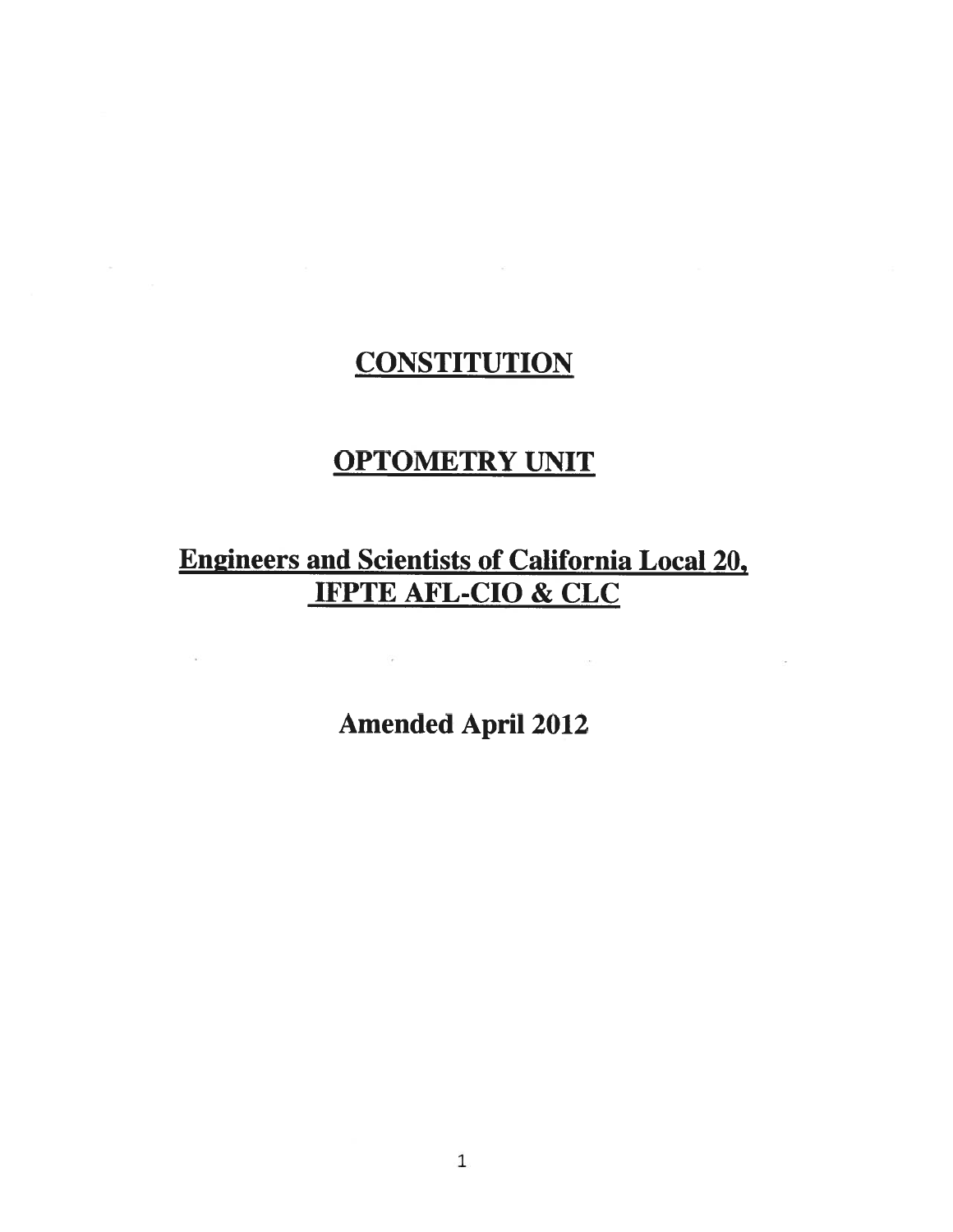# **CONSTITUTION**

# **OPTOMETRY UNIT**

# **Engineers and Scientists of California Local 20,** IFPTE AFL-CIO & CLC

**Amended April 2012** 

 $\overline{\left( \frac{1}{2} \right)}$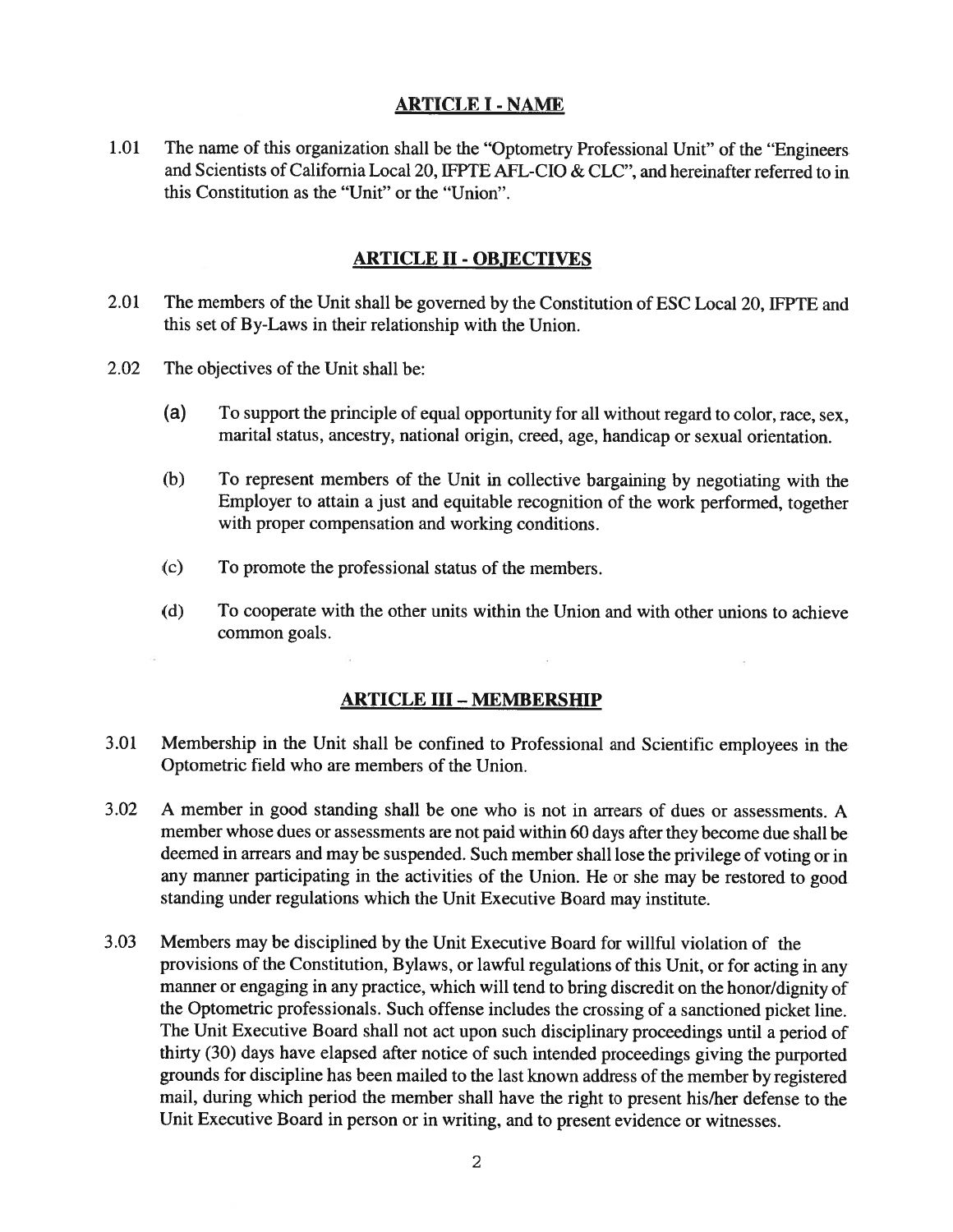### ARTICLE I - NAME

1.01 The name of this organization shall be the "Optometry Professional Unit" of the "Engineers and Scientists of California Local 20, IFPTE AFL-CIO & CLC", and hereinafter referred to in this Constitution as the "Unit" or the "Union".

#### ARTICLE II- OB.JECTIYES

- 2.01 The members of the Unit shall be governed by the Constitution of ESC Local 20, IFPTE and this set of By-Laws in their relationship with the Union.
- 2.02 The objectives of the Unit shall be:
	- (a) To suppor<sup>t</sup> the principle of equa<sup>l</sup> opportunity for all without regar<sup>d</sup> to color, race, sex, marital status, ancestry, national origin, creed, age, handicap or sexual orientation.
	- (b) To represen<sup>t</sup> members of the Unit in collective bargaining by negotiating with the Employer to attain <sup>a</sup> just and equitable recognition of the work performed, together with proper compensation and working conditions.
	- (c) To promote the professional status of the members.
	- (d) To cooperate with the other units within the Union and with other unions to achieve common goals.

#### ARTICLE III -MEMBERSHIP

- 3.01 Membership in the Unit shall be confined to Professional and Scientific employees in the Optometric field who are members of the Union.
- 3.02 A member in good standing shall be one who is not in arrears of dues or assessments. A member whose dues or assessments are not paid within <sup>60</sup> days after they become due shall be deemed in arrears and may be suspended. Such member shall lose the privilege of voting or in any manner participating in the activities of the Union. He or she may be restored to goo<sup>d</sup> standing under regulations which the Unit Executive Board may institute.
- 3.03 Members may be disciplined by the Unit Executive Board for willful violation of the provisions of the Constitution, Bylaws, or lawful regulations of this Unit, or for acting in any manner or engaging in any practice, which will tend to bring discredit on the honor/dignity of the Optometric professionals. Such offense includes the crossing of <sup>a</sup> sanctioned <sup>p</sup>icket line. The Unit Executive Board shall not act upon such disciplinary proceedings until <sup>a</sup> period of thirty (30) days have elapsed after notice of such intended proceedings <sup>g</sup>iving the purported grounds for discipline has been mailed to the last known address of the member by registered mail, during which period the member shall have the right to presen<sup>t</sup> his/her defense to the Unit Executive Board in person or in writing, and to presen<sup>t</sup> evidence or witnesses.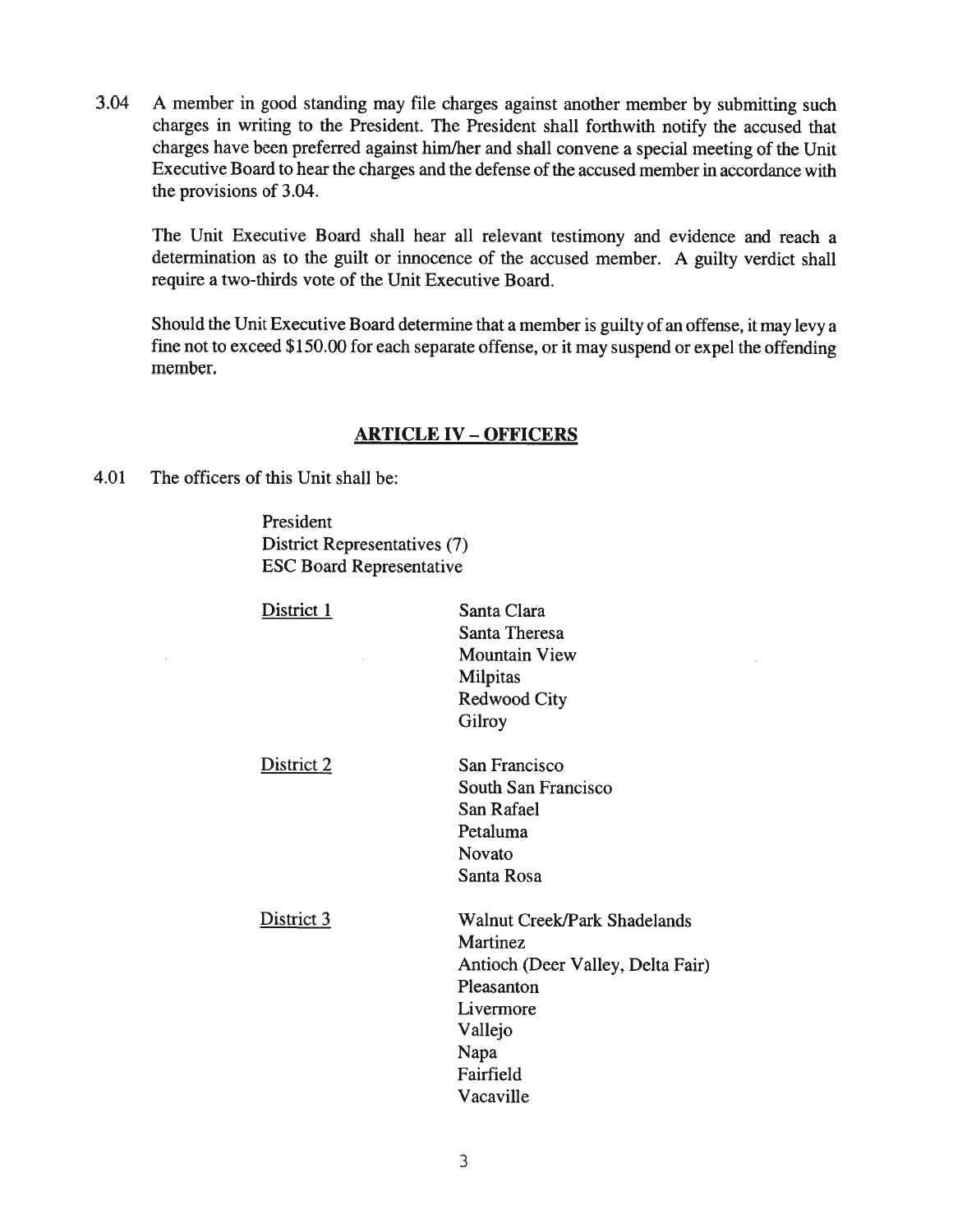3.04 <sup>A</sup> member in goo<sup>d</sup> standing may file charges against another member by submitting such charges in writing to the President. The President shall forthwith notify the accused that charges have been preferred against him/her and shall convene <sup>a</sup> special meeting of the Unit Executive Board to hear the charges and the defense of the accused member in accordance with the provisions of 3.04.

The Unit Executive Board shall hear all relevant testimony and evidence and reach <sup>a</sup> determination as to the guilt or innocence of the accused member. <sup>A</sup> guilty verdict shall require <sup>a</sup> two-thirds vote of the Unit Executive Board.

Should the Unit Executive Board determine that <sup>a</sup> member is guilty of an offense, it may levy <sup>a</sup> fine not to exceed \$150.00 for each separate offense, or it may suspend or expel the offending member.

#### **ARTICLE IV - OFFICERS**

4.01 The officers of this Unit shall be:

President District Representatives (7) ESC Board Representative

| District 1 | Santa Clara                         |
|------------|-------------------------------------|
|            | Santa Theresa                       |
|            | <b>Mountain View</b>                |
|            | Milpitas                            |
|            | Redwood City                        |
|            | Gilroy                              |
| District 2 | San Francisco                       |
|            | South San Francisco                 |
|            | San Rafael                          |
|            | Petaluma                            |
|            | Novato                              |
|            | Santa Rosa                          |
| District 3 | <b>Walnut Creek/Park Shadelands</b> |
|            | Martinez                            |
|            | Antioch (Deer Valley, Delta Fair)   |
|            | Pleasanton                          |
|            | Livermore                           |
|            | Vallejo                             |
|            | Napa                                |
|            | Fairfield                           |
|            | Vacaville                           |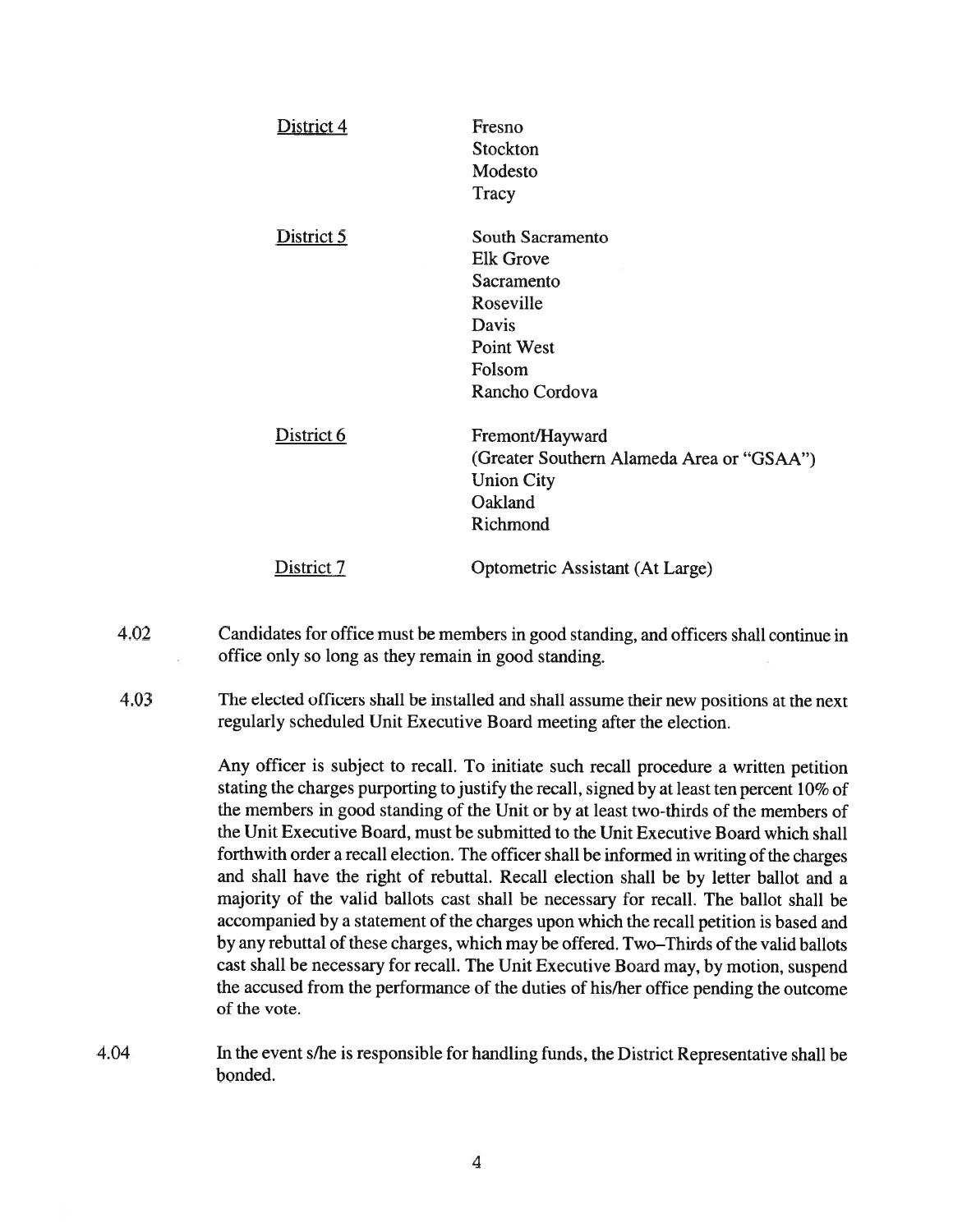| District 4 | Fresno<br>Stockton<br>Modesto<br>Tracy                                                                                    |
|------------|---------------------------------------------------------------------------------------------------------------------------|
| District 5 | South Sacramento<br><b>Elk Grove</b><br>Sacramento<br>Roseville<br>Davis<br><b>Point West</b><br>Folsom<br>Rancho Cordova |
| District 6 | Fremont/Hayward<br>(Greater Southern Alameda Area or "GSAA")<br><b>Union City</b><br>Oakland<br>Richmond                  |
| District 7 | Optometric Assistant (At Large)                                                                                           |

- 4.02 Candidates for office must be members in good standing, and officers shall continue in office oniy so long as they remain in good standing.
- 4.03 The elected officers shall be installed and shall assume their new positions at the next regularly scheduled Unit Executive Board meeting after the election.

Any officer is subject to recall. To initiate such recall procedure <sup>a</sup> written petition stating the charges purporting to justify the recall, signed by at least ten percen<sup>t</sup> 10% of the members in good standing of the Unit or by at least two-thirds of the members of the Unit Executive Board, must be submitted to the Unit Executive Board which shall forthwith order <sup>a</sup> recall election. The officer shall be informed in writing of the charges and shall have the right of rebuttal. Recall election shall be by letter ballot and <sup>a</sup> majority of the valid ballots cast shall be necessary for recall. The ballot shall be accompanied by <sup>a</sup> statement of the charges upon which the recall petition is based and by any rebuttal of these charges, which may be offered. Two—Thirds of the valid ballots cast shall be necessary for recall. The Unit Executive Board may, by motion, suspen<sup>d</sup> the accused from the performance of the duties of his/her office pending the outcome of the vote.

4.04 In the event s/he is responsible for handling funds, the District Representative shall be bonded.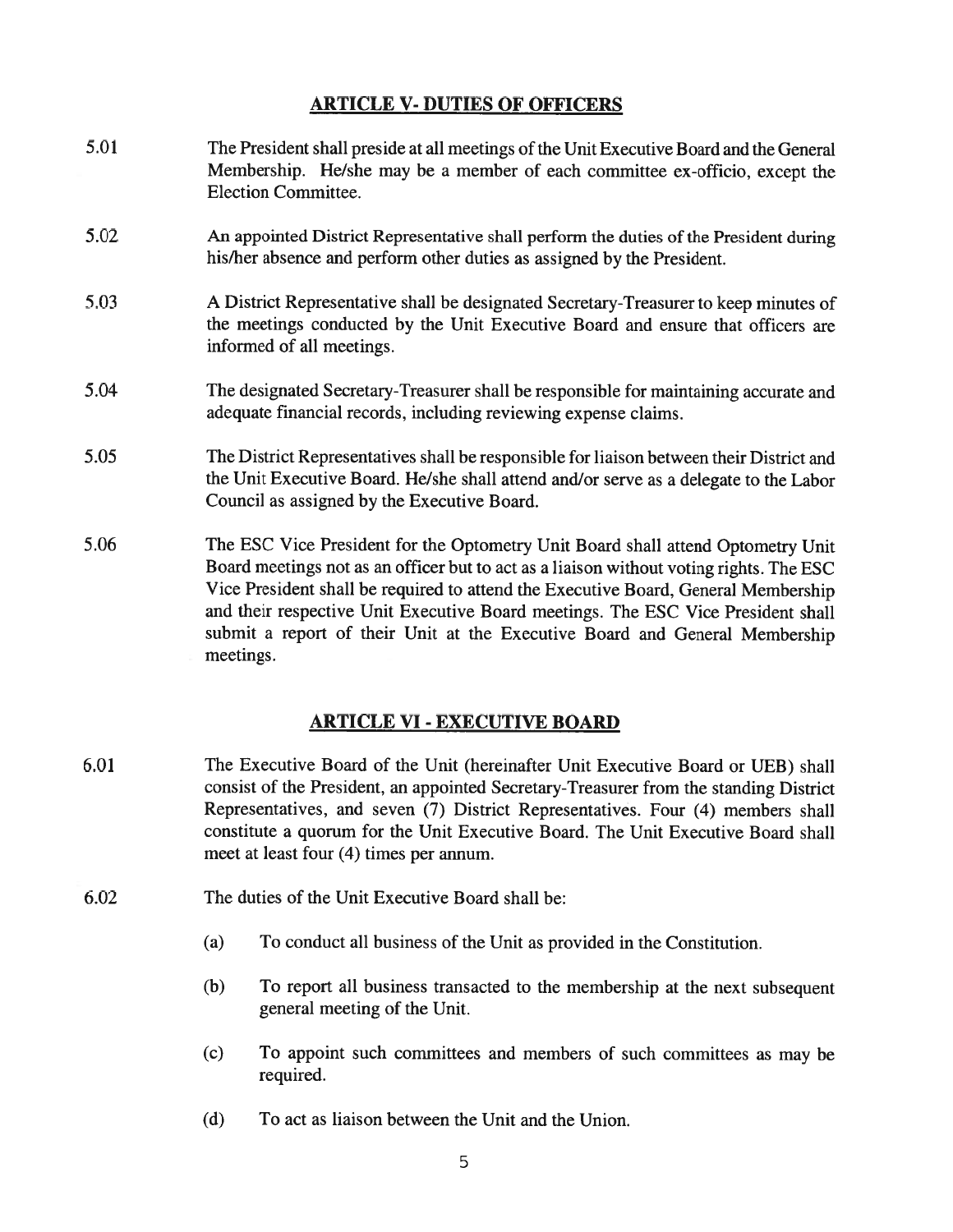## ARTICLE V- DUTIES OF OFFICERS

- 5.01 The President shall preside at all meetings of the Unit Executive Board and the General Membership. He/she may be <sup>a</sup> member of each committee ex-officio, excep<sup>t</sup> the Election Committee.
- 5.02 An appointed District Representative shall perform the duties of the President during his/her absence and perform other duties as assigned by the President.
- 5.03 <sup>A</sup> District Representative shall be designated Secretary-Treasurer to keep minutes of the meetings conducted by the Unit Executive Board and ensure that officers are informed of all meetings.
- 5.04 The designated Secretary-Treasurer shall be responsible for maintaining accurate and adequate financial records, including reviewing expense claims.
- 5.05 The District Representatives shall be responsible for liaison between their District and the Unit Executive Board. He/she shall attend and/or serve as <sup>a</sup> delegate to the Labor Council as assigned by the Executive Board.
- 5.06 The ESC Vice President for the Optometry Unit Board shall attend Optometry Unit Board meetings not as an officer but to act as <sup>a</sup> liaison without voting rights. The ESC Vice President shall be required to attend the Executive Board, General Membership and their respective Unit Executive Board meetings. The ESC Vice President shall submit <sup>a</sup> repor<sup>t</sup> of their Unit at the Executive Board and General Membership meetings.

### ARTICLE VI- EXECUTIVE BOARD

- 6.01 The Executive Board of the Unit (hereinafter Unit Executive Board or UEB) shall consist of the President, an appointed Secretary-Treasurer from the standing District Representatives, and seven (7) District Representatives. Four (4) members shall constitute <sup>a</sup> quorum for the Unit Executive Board. The Unit Executive Board shall meet at least four (4) times per annum.
- 6.02 The duties of the Unit Executive Board shall be:
	- (a) To conduct all business of the Unit as provided in the Constitution.
	- (b) To repor<sup>t</sup> all business transacted to the membership at the next subsequent general meeting of the Unit.
	- (c) To appoint such committees and members of such committees as may be required.
	- (d) To act as liaison between the Unit and the Union.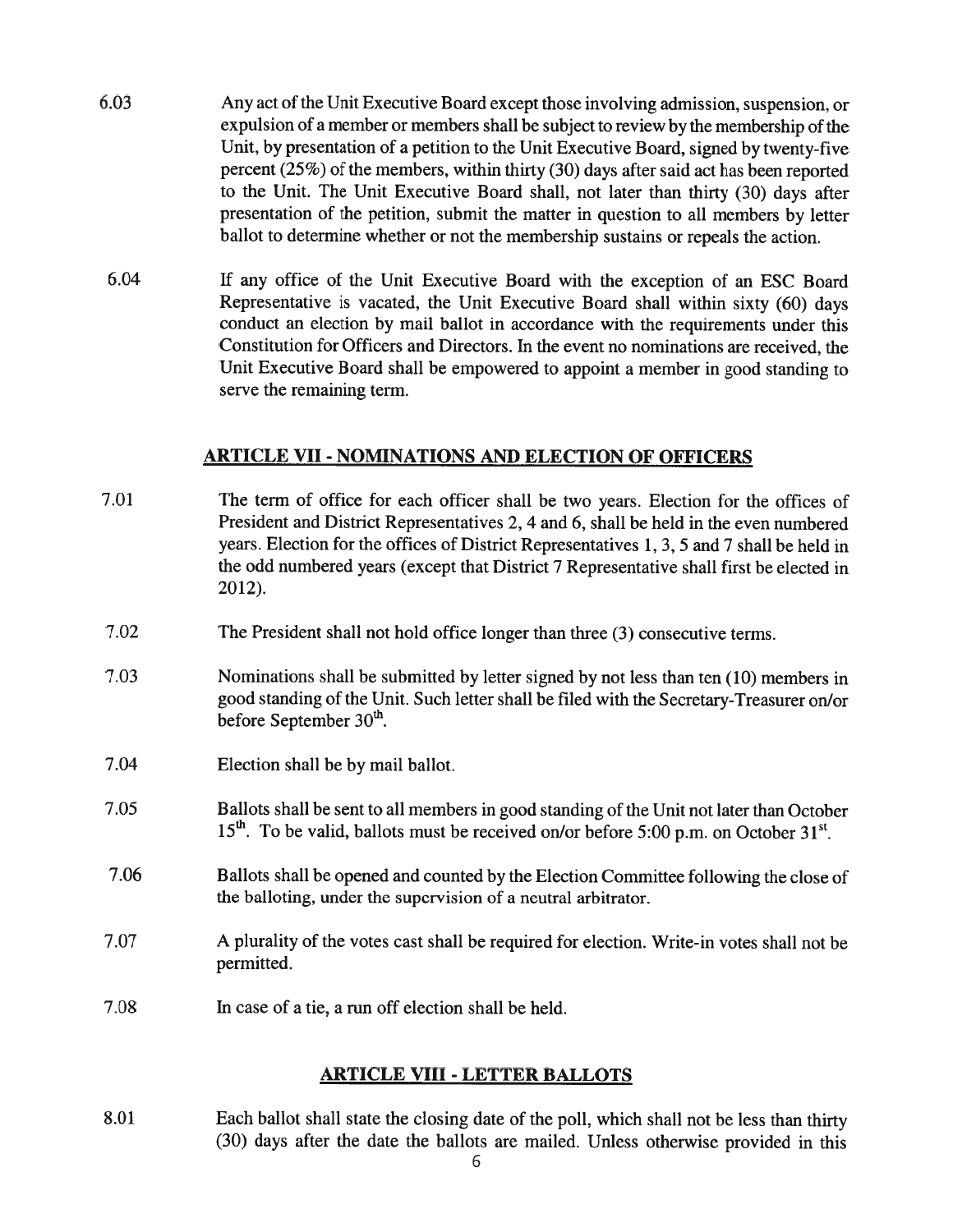- 6.03 Any act of the Unit Executive Board excep<sup>t</sup> those involving admission, suspension, or expulsion of a member or members shall be subject to review by the membership of the Unit, by presentation of <sup>a</sup> petition to the Unit Executive Board, signed by twenty-five percen<sup>t</sup> (25%) of the members, within thirty (30) days after said act has been reported to the Unit. The Unit Executive Board shall, not later than thirty (30) days after presentation of the petition, submit the matter in question to all members by letter ballot to determine whether or not the membership sustains or repeals the action.
- 6.04 If any office of the Unit Executive Board with the exception of an ESC Board Representative is vacated, the Unit Executive Board shall within sixty (60) days conduct an election by mail ballot in accordance with the requirements under this Constitution for Officers and Directors. In the event no nominations are received, the Unit Executive Board shall be empowere<sup>d</sup> to appoint <sup>a</sup> member in goo<sup>d</sup> standing to serve the remaining term.

## ARTICLE VII- NOMINATIONS AND ELECTION OF OFFICERS

7.01 The term of office for each officer shall be two years. Election for the offices of President and District Representatives 2, 4 and 6, shall be held in the even numbered years. Election for the offices of District Representatives 1, 3, 5 and <sup>7</sup> shall be held in the odd numbered years (except that District <sup>7</sup> Representative shall first be elected in 2012). 7.02 The President shall not hold office longer than three (3) consecutive terms. 7.03 Nominations shall be submitted by letter signed by not less than ten (10) members in good standing of the Unit. Such letter shall be filed with the Secretary-Treasurer on/or before September  $30<sup>th</sup>$ . 7.04 Election shall be by mail ballot. 7.05 Ballots shall be sent to all members in good standing of the Unit not later than October  $15<sup>th</sup>$ . To be valid, ballots must be received on/or before 5:00 p.m. on October 31<sup>st</sup>. 7.06 Ballots shall be opene<sup>d</sup> and counted by the Election Committee following the close of the balloting, under the supervision of <sup>a</sup> neutral arbitrator. 7.07 A plurality of the votes cast shall be required for election. Write-in votes shall not be permitted. 7.08 In case of <sup>a</sup> tie, <sup>a</sup> run off election shall be held.

# ARTICLE VIII- LETTER BALLOTS

8.01 Each ballot shall state the closing date of the poll, which shall not be less than thirty (30) days after the date the ballots are mailed. Unless otherwise provided in this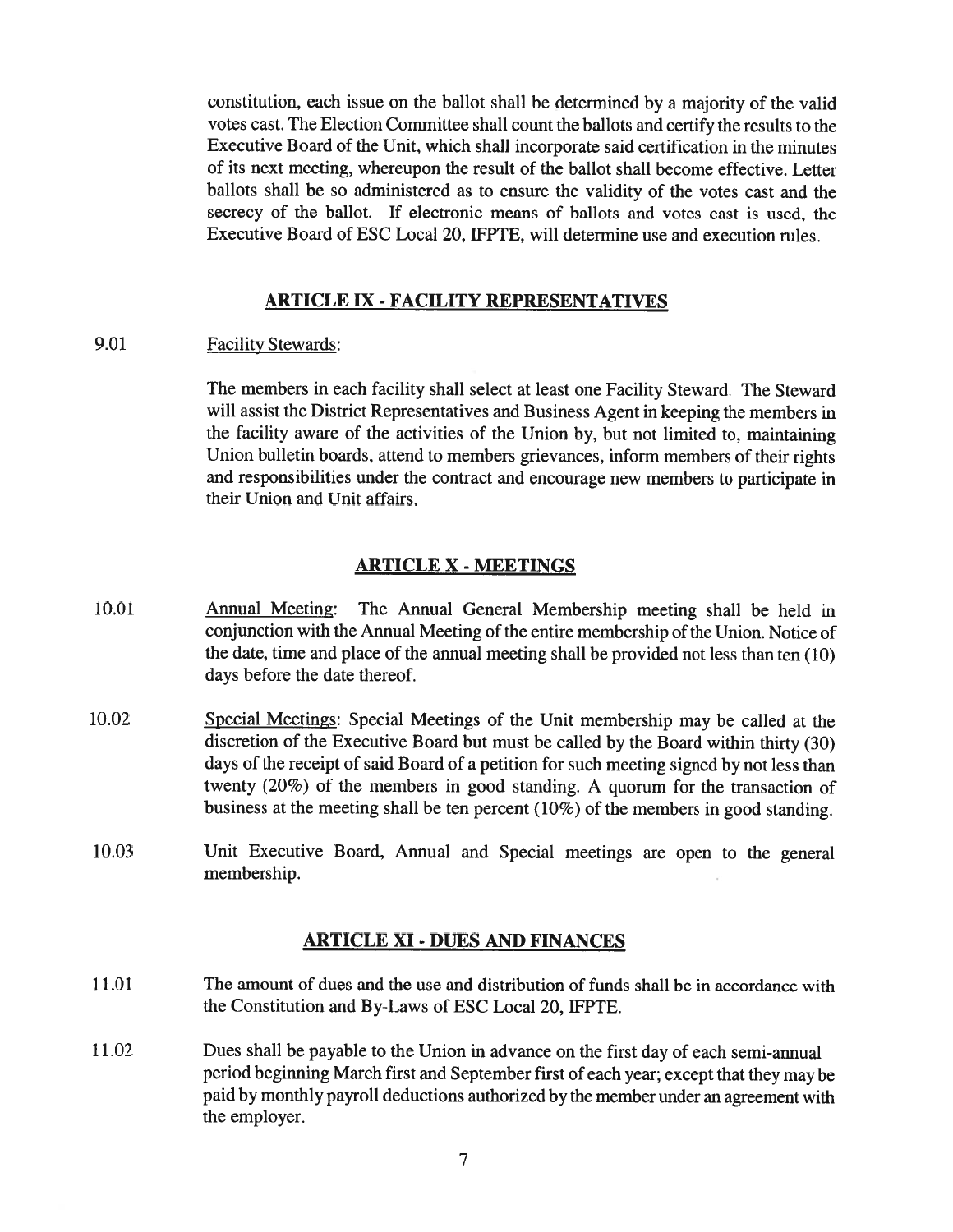constitution, each issue on the ballot shall be determined by <sup>a</sup> majority of the valid votes cast. The Election Committee shall count the ballots and certify the results to the Executive Board of the Unit, which shall incorporate said certification in the minutes of its next meeting, whereupon the result of the ballot shall become effective. Letter ballots shall be so administered as to ensure the validity of the votes cast and the secrecy of the ballot. If electronic means of ballots and votes cast is used, the Executive Board of ESC Local 20, IFPTE, will determine use and execution rules.

### ARTICLE IX - FACILITY REPRESENTATIVES

9.01 Facility Stewards:

The members in each facility shall select at least one Facility Steward. The Steward will assist the District Representatives and Business Agent in keeping the members in the facility aware of the activities of the Union by, but not limited to, maintaining Union bulletin boards, attend to members grievances, inform members of their rights and responsibilities under the contract and encourage new members to participate in their Union and Unit affairs.

#### ARTICLE X - MEETINGS

- 10.01 Annual Meeting: The Annual General Membership meeting shall be held in conjunction with the Annual Meeting of the entire membership of the Union. Notice of the date, time and <sup>p</sup>lace of the annual meeting shall be provided not less than ten (10) days before the date thereof.
- 10.02 Special Meetings: Special Meetings of the Unit membership may be called at the discretion of the Executive Board but must be called by the Board within thirty (30) days of the receipt of said Board of <sup>a</sup> petition for such meeting signed by not less than twenty (20%) of the members in good standing. <sup>A</sup> quorum for the transaction of business at the meeting shall be ten percen<sup>t</sup> (10%) of the members in goo<sup>d</sup> standing.
- 10.03 Unit Executive Board, Annual and Special meetings are open to the genera<sup>l</sup> membership.

#### ARTICLE XI- DUES AND FINANCES

- 11.01 The amount of dues and the use and distribution of funds shall be in accordance with the Constitution and By-Laws of ESC Local 20, IFPTE.
- 11.02 Dues shall be payable to the Union in advance on the first day of each semi-annual period beginning March first and September first of each year; excep<sup>t</sup> that they may be paid by monthly payroll deductions authorized by the member under an agreemen<sup>t</sup> with the employer.